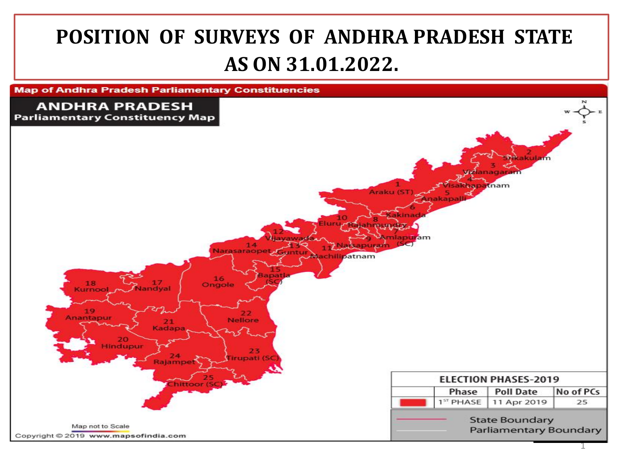## **POSITION OF SURVEYS OF ANDHRA PRADESH STATE AS ON 31.01.2022.**

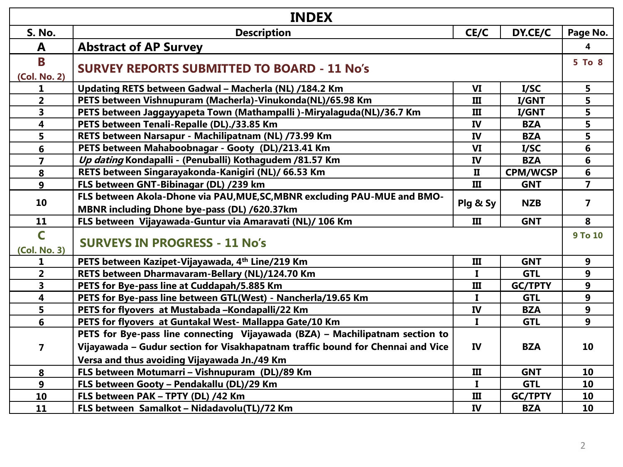| <b>INDEX</b>                            |                                                                                                                                                     |              |                 |                |
|-----------------------------------------|-----------------------------------------------------------------------------------------------------------------------------------------------------|--------------|-----------------|----------------|
| <b>S. No.</b>                           | <b>Description</b><br>CE/C<br>DY.CE/C                                                                                                               |              |                 | Page No.       |
| A                                       | <b>Abstract of AP Survey</b>                                                                                                                        |              |                 | 4              |
| B<br>(Col. No. 2)                       | <b>SURVEY REPORTS SUBMITTED TO BOARD - 11 No's</b>                                                                                                  |              |                 | 5 To 8         |
| 1                                       | Updating RETS between Gadwal - Macherla (NL) /184.2 Km                                                                                              | VI           | I/SC            | 5              |
| $\overline{2}$                          | PETS between Vishnupuram (Macherla)-Vinukonda(NL)/65.98 Km                                                                                          | Ш            | I/GNT           | 5              |
| 3                                       | PETS between Jaggayyapeta Town (Mathampalli)-Miryalaguda(NL)/36.7 Km                                                                                | Ш            | I/GNT           | 5              |
| $\overline{\mathbf{4}}$                 | PETS between Tenali-Repalle (DL)./33.85 Km                                                                                                          | IV           | <b>BZA</b>      | 5              |
| 5                                       | RETS between Narsapur - Machilipatnam (NL) /73.99 Km                                                                                                | IV           | <b>BZA</b>      | 5              |
| 6                                       | PETS between Mahaboobnagar - Gooty (DL)/213.41 Km                                                                                                   | VI           | I/SC            | 6              |
| $\overline{\mathbf{z}}$                 | Up dating Kondapalli - (Penuballi) Kothagudem /81.57 Km                                                                                             | IV           | <b>BZA</b>      | 6              |
| 8                                       | RETS between Singarayakonda-Kanigiri (NL)/ 66.53 Km                                                                                                 | $\mathbf{I}$ | <b>CPM/WCSP</b> | 6              |
| 9                                       | FLS between GNT-Bibinagar (DL) /239 km                                                                                                              | III          | <b>GNT</b>      | $\overline{7}$ |
| 10                                      | FLS between Akola-Dhone via PAU, MUE, SC, MBNR excluding PAU-MUE and BMO-<br>Plg & Sy<br><b>NZB</b><br>MBNR including Dhone bye-pass (DL) /620.37km |              |                 |                |
| 11                                      | FLS between Vijayawada-Guntur via Amaravati (NL)/ 106 Km                                                                                            | III          | <b>GNT</b>      | 8              |
| $\overline{\mathsf{C}}$<br>(Col. No. 3) | <b>SURVEYS IN PROGRESS - 11 No's</b>                                                                                                                |              |                 | 9 To 10        |
| 1                                       | PETS between Kazipet-Vijayawada, 4th Line/219 Km<br>III<br><b>GNT</b>                                                                               |              |                 | 9              |
| $\overline{2}$                          | RETS between Dharmavaram-Bellary (NL)/124.70 Km                                                                                                     | $\mathbf{I}$ | <b>GTL</b>      | 9              |
| 3                                       | PETS for Bye-pass line at Cuddapah/5.885 Km                                                                                                         | Ш            | <b>GC/TPTY</b>  | 9              |
| $\overline{\mathbf{4}}$                 | PETS for Bye-pass line between GTL(West) - Nancherla/19.65 Km                                                                                       | $\mathbf{I}$ | <b>GTL</b>      | 9              |
| 5                                       | PETS for flyovers at Mustabada-Kondapalli/22 Km                                                                                                     | IV           | <b>BZA</b>      | 9              |
| $6\phantom{1}$                          | PETS for flyovers at Guntakal West- Mallappa Gate/10 Km                                                                                             | $\mathbf{I}$ | <b>GTL</b>      | 9              |
|                                         | PETS for Bye-pass line connecting Vijayawada (BZA) - Machilipatnam section to                                                                       |              |                 |                |
| $\overline{7}$                          | Vijayawada - Gudur section for Visakhapatnam traffic bound for Chennai and Vice                                                                     | <b>IV</b>    | <b>BZA</b>      | 10             |
|                                         | Versa and thus avoiding Vijayawada Jn./49 Km                                                                                                        |              |                 |                |
| 8                                       | FLS between Motumarri - Vishnupuram (DL)/89 Km<br>$\rm III$<br><b>GNT</b>                                                                           |              | 10              |                |
| 9                                       | FLS between Gooty - Pendakallu (DL)/29 Km                                                                                                           | I            | <b>GTL</b>      | 10             |
| 10                                      | FLS between PAK - TPTY (DL) /42 Km                                                                                                                  | III          | <b>GC/TPTY</b>  | 10             |
| 11                                      | FLS between Samalkot - Nidadavolu(TL)/72 Km                                                                                                         | IV           | <b>BZA</b>      | 10             |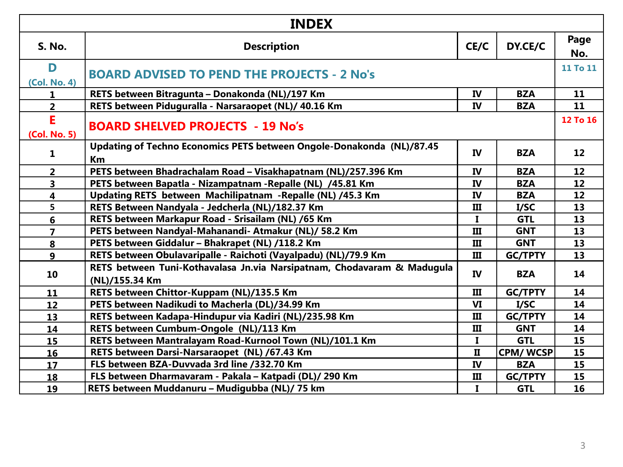| <b>INDEX</b>            |                                                                                           |              |                 |             |
|-------------------------|-------------------------------------------------------------------------------------------|--------------|-----------------|-------------|
| <b>S. No.</b>           | CE/C<br>DY.CE/C<br><b>Description</b>                                                     |              |                 | Page<br>No. |
| D<br>(Col. No. 4)       | <b>BOARD ADVISED TO PEND THE PROJECTS - 2 No's</b>                                        |              |                 | 11 To 11    |
| 1                       | RETS between Bitragunta - Donakonda (NL)/197 Km                                           | IV           | <b>BZA</b>      | 11          |
| $\overline{2}$          | RETS between Piduguralla - Narsaraopet (NL)/ 40.16 Km                                     | <b>IV</b>    | <b>BZA</b>      | 11          |
| E.<br>(Col. No. 5)      | <b>BOARD SHELVED PROJECTS - 19 No's</b>                                                   |              |                 | 12 To 16    |
| $\mathbf{1}$            | Updating of Techno Economics PETS between Ongole-Donakonda (NL)/87.45<br>Km               | <b>IV</b>    | <b>BZA</b>      | 12          |
| 2 <sup>1</sup>          | PETS between Bhadrachalam Road - Visakhapatnam (NL)/257.396 Km                            | IV           | <b>BZA</b>      | 12          |
| $\overline{\mathbf{3}}$ | PETS between Bapatla - Nizampatnam - Repalle (NL) /45.81 Km                               | <b>IV</b>    | <b>BZA</b>      | 12          |
| $\overline{\mathbf{4}}$ | Updating RETS between Machilipatnam - Repalle (NL) /45.3 Km<br>IV<br><b>BZA</b>           |              | 12              |             |
| $\overline{\mathbf{5}}$ | RETS Between Nandyala - Jedcherla (NL)/182.37 Km<br>III<br>I/SC                           |              | 13              |             |
| 6                       | RETS between Markapur Road - Srisailam (NL) /65 Km<br>$\mathbf{I}$<br><b>GTL</b>          |              | 13              |             |
| $\overline{7}$          | PETS between Nandyal-Mahanandi- Atmakur (NL)/ 58.2 Km<br><b>GNT</b><br>III                |              | 13              |             |
| 8                       | PETS between Giddalur - Bhakrapet (NL) /118.2 Km<br><b>GNT</b><br>Ш                       |              | 13              |             |
| 9 <sup>°</sup>          | RETS between Obulavaripalle - Raichoti (Vayalpadu) (NL)/79.9 Km                           | III          | <b>GC/TPTY</b>  | 13          |
| 10                      | RETS between Tuni-Kothavalasa Jn.via Narsipatnam, Chodavaram & Madugula<br>(NL)/155.34 Km | <b>IV</b>    | <b>BZA</b>      | 14          |
| 11                      | RETS between Chittor-Kuppam (NL)/135.5 Km                                                 | III          | <b>GC/TPTY</b>  | 14          |
| $12 \overline{ }$       | PETS between Nadikudi to Macherla (DL)/34.99 Km                                           | VI           | I/SC            | 14          |
| 13                      | RETS between Kadapa-Hindupur via Kadiri (NL)/235.98 Km                                    | III          | <b>GC/TPTY</b>  | 14          |
| 14                      | RETS between Cumbum-Ongole (NL)/113 Km                                                    | Ш            | <b>GNT</b>      | 14          |
| 15                      | RETS between Mantralayam Road-Kurnool Town (NL)/101.1 Km                                  | $\bf{I}$     | <b>GTL</b>      | 15          |
| 16                      | RETS between Darsi-Narsaraopet (NL) /67.43 Km                                             | $\mathbf{I}$ | <b>CPM/WCSP</b> | 15          |
| 17                      | FLS between BZA-Duvvada 3rd line /332.70 Km                                               | IV           | <b>BZA</b>      | 15          |
| 18                      | FLS between Dharmavaram - Pakala - Katpadi (DL)/ 290 Km                                   | Ш            | <b>GC/TPTY</b>  | 15          |
| 19                      | RETS between Muddanuru - Mudigubba (NL)/ 75 km                                            | $\mathbf{I}$ | <b>GTL</b>      | 16          |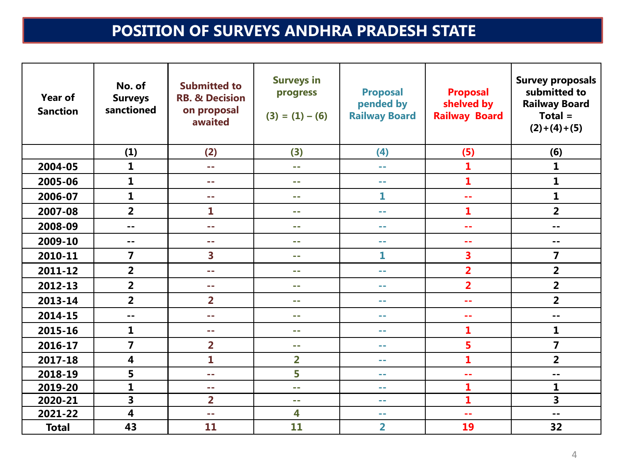## **POSITION OF SURVEYS ANDHRA PRADESH STATE**

| Year of<br><b>Sanction</b> | No. of<br><b>Surveys</b><br>sanctioned | <b>Submitted to</b><br><b>RB. &amp; Decision</b><br>on proposal<br>awaited | <b>Surveys in</b><br>progress<br>$(3) = (1) - (6)$ | <b>Proposal</b><br>pended by<br><b>Railway Board</b> | <b>Proposal</b><br>shelved by<br><b>Railway Board</b> | <b>Survey proposals</b><br>submitted to<br><b>Railway Board</b><br>$Total =$<br>$(2)+(4)+(5)$ |
|----------------------------|----------------------------------------|----------------------------------------------------------------------------|----------------------------------------------------|------------------------------------------------------|-------------------------------------------------------|-----------------------------------------------------------------------------------------------|
|                            | (1)                                    | (2)                                                                        | (3)                                                | (4)                                                  | (5)                                                   | (6)                                                                                           |
| 2004-05                    | 1                                      | ц.                                                                         | 44                                                 | $\sim$ $-$                                           | $\mathbf{1}$                                          | $\mathbf{1}$                                                                                  |
| 2005-06                    | 1                                      | --                                                                         | --                                                 | a a                                                  | $\mathbf{1}$                                          | 1                                                                                             |
| 2006-07                    | 1                                      | --                                                                         | ш.                                                 | 1                                                    | 44                                                    | $\mathbf{1}$                                                                                  |
| 2007-08                    | $\overline{\mathbf{2}}$                | 1                                                                          | ш.                                                 | a a                                                  | $\mathbf{1}$                                          | $\overline{\mathbf{2}}$                                                                       |
| 2008-09                    | --                                     | 44                                                                         | - -                                                | $\sim$ $-$                                           | --                                                    | $ -$                                                                                          |
| 2009-10                    | --                                     | --                                                                         | ш.                                                 | a a                                                  | --                                                    | $ -$                                                                                          |
| 2010-11                    | 7                                      | 3                                                                          | ш.                                                 | 1                                                    | 3                                                     | 7                                                                                             |
| 2011-12                    | $\overline{2}$                         | ÷.                                                                         | ш.                                                 | a a                                                  | $\overline{2}$                                        | $\overline{\mathbf{2}}$                                                                       |
| 2012-13                    | $\overline{2}$                         | - -                                                                        | --                                                 | --                                                   | $\overline{2}$                                        | $\overline{2}$                                                                                |
| 2013-14                    | $\overline{2}$                         | $\overline{\mathbf{2}}$                                                    | ш.                                                 | --                                                   | --                                                    | $\overline{2}$                                                                                |
| 2014-15                    | --                                     | --                                                                         | ۰.                                                 | --                                                   | --                                                    | $-$                                                                                           |
| 2015-16                    | $\mathbf{1}$                           | - -                                                                        | ш.                                                 | --                                                   | $\mathbf{1}$                                          | $\mathbf{1}$                                                                                  |
| 2016-17                    | $\overline{7}$                         | $\overline{2}$                                                             | ۰.                                                 | an an                                                | 5                                                     | $\overline{7}$                                                                                |
| 2017-18                    | 4                                      | 1                                                                          | $\overline{2}$                                     | $\sim$ $\sim$                                        | $\mathbf{1}$                                          | $\overline{2}$                                                                                |
| 2018-19                    | 5                                      | - -                                                                        | 5                                                  | a a                                                  | ۵۵                                                    | $-$                                                                                           |
| 2019-20                    | $\mathbf{1}$                           | $\sim$ $-$                                                                 | шu.                                                | $\sim$ $-$                                           | 1                                                     | 1                                                                                             |
| 2020-21                    | 3                                      | $\overline{\mathbf{2}}$                                                    | --                                                 | a a                                                  | $\mathbf{1}$                                          | 3                                                                                             |
| 2021-22                    | $\overline{\mathbf{4}}$                | ÷.                                                                         | 4                                                  | m m                                                  | 44                                                    | $-$                                                                                           |
| <b>Total</b>               | 43                                     | 11                                                                         | 11                                                 | $\overline{\mathbf{2}}$                              | 19                                                    | 32                                                                                            |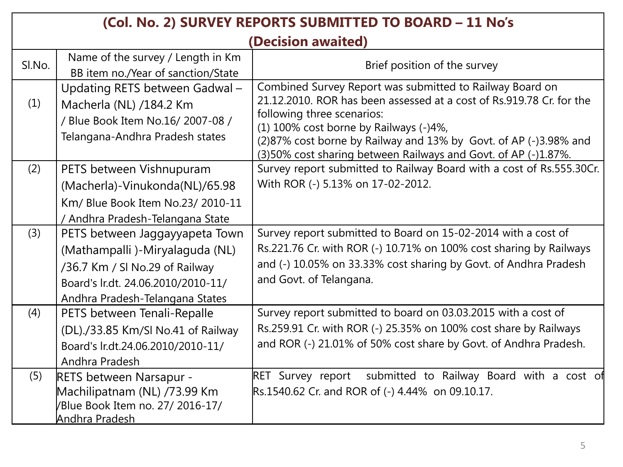|        | (Col. No. 2) SURVEY REPORTS SUBMITTED TO BOARD - 11 No's                                                                                                                    |                                                                                                                                                                                                                                                                                                                                                |  |
|--------|-----------------------------------------------------------------------------------------------------------------------------------------------------------------------------|------------------------------------------------------------------------------------------------------------------------------------------------------------------------------------------------------------------------------------------------------------------------------------------------------------------------------------------------|--|
|        |                                                                                                                                                                             | (Decision awaited)                                                                                                                                                                                                                                                                                                                             |  |
| SI.No. | Name of the survey / Length in Km<br>BB item no./Year of sanction/State                                                                                                     | Brief position of the survey                                                                                                                                                                                                                                                                                                                   |  |
| (1)    | Updating RETS between Gadwal-<br>Macherla (NL) /184.2 Km<br>/ Blue Book Item No.16/ 2007-08 /<br>Telangana-Andhra Pradesh states                                            | Combined Survey Report was submitted to Railway Board on<br>21.12.2010. ROR has been assessed at a cost of Rs.919.78 Cr. for the<br>following three scenarios:<br>(1) 100% cost borne by Railways (-)4%,<br>(2)87% cost borne by Railway and 13% by Govt. of AP (-)3.98% and<br>(3)50% cost sharing between Railways and Govt. of AP (-)1.87%. |  |
| (2)    | PETS between Vishnupuram<br>(Macherla)-Vinukonda(NL)/65.98<br>Km/ Blue Book Item No.23/ 2010-11<br>/ Andhra Pradesh-Telangana State                                         | Survey report submitted to Railway Board with a cost of Rs.555.30Cr.<br>With ROR (-) 5.13% on 17-02-2012.                                                                                                                                                                                                                                      |  |
| (3)    | PETS between Jaggayyapeta Town<br>(Mathampalli)-Miryalaguda (NL)<br>/36.7 Km / SI No.29 of Railway<br>Board's lr.dt. 24.06.2010/2010-11/<br>Andhra Pradesh-Telangana States | Survey report submitted to Board on 15-02-2014 with a cost of<br>Rs.221.76 Cr. with ROR (-) 10.71% on 100% cost sharing by Railways<br>and (-) 10.05% on 33.33% cost sharing by Govt. of Andhra Pradesh<br>and Govt. of Telangana.                                                                                                             |  |
| (4)    | PETS between Tenali-Repalle<br>(DL)./33.85 Km/SI No.41 of Railway<br>Board's lr.dt.24.06.2010/2010-11/<br>Andhra Pradesh                                                    | Survey report submitted to board on 03.03.2015 with a cost of<br>Rs.259.91 Cr. with ROR (-) 25.35% on 100% cost share by Railways<br>and ROR (-) 21.01% of 50% cost share by Govt. of Andhra Pradesh.                                                                                                                                          |  |
| (5)    | RETS between Narsapur -<br>Machilipatnam (NL) /73.99 Km<br>/Blue Book Item no. 27/ 2016-17/<br><u>Andhra Pradesh</u>                                                        | submitted to Railway Board with a cost of<br><b>RET Survey report</b><br>Rs.1540.62 Cr. and ROR of (-) 4.44% on 09.10.17.                                                                                                                                                                                                                      |  |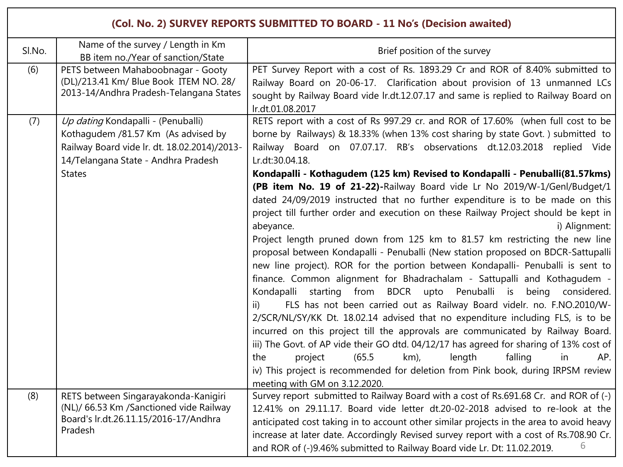|        |                                                                                                                                                                                   | (Col. No. 2) SURVEY REPORTS SUBMITTED TO BOARD - 11 No's (Decision awaited)                                                                                                                                                                                                                                                                                                                                                                                                                                                                                                                                                                                                                                                                                                                                                                                                                                                                                                                                                                                                                                                                                                                                                                                                                                                                                                                                                                                                                                                                                                                   |
|--------|-----------------------------------------------------------------------------------------------------------------------------------------------------------------------------------|-----------------------------------------------------------------------------------------------------------------------------------------------------------------------------------------------------------------------------------------------------------------------------------------------------------------------------------------------------------------------------------------------------------------------------------------------------------------------------------------------------------------------------------------------------------------------------------------------------------------------------------------------------------------------------------------------------------------------------------------------------------------------------------------------------------------------------------------------------------------------------------------------------------------------------------------------------------------------------------------------------------------------------------------------------------------------------------------------------------------------------------------------------------------------------------------------------------------------------------------------------------------------------------------------------------------------------------------------------------------------------------------------------------------------------------------------------------------------------------------------------------------------------------------------------------------------------------------------|
| Sl.No. | Name of the survey / Length in Km<br>BB item no./Year of sanction/State                                                                                                           | Brief position of the survey                                                                                                                                                                                                                                                                                                                                                                                                                                                                                                                                                                                                                                                                                                                                                                                                                                                                                                                                                                                                                                                                                                                                                                                                                                                                                                                                                                                                                                                                                                                                                                  |
| (6)    | PETS between Mahaboobnagar - Gooty<br>(DL)/213.41 Km/ Blue Book ITEM NO. 28/<br>2013-14/Andhra Pradesh-Telangana States                                                           | PET Survey Report with a cost of Rs. 1893.29 Cr and ROR of 8.40% submitted to<br>Railway Board on 20-06-17. Clarification about provision of 13 unmanned LCs<br>sought by Railway Board vide lr.dt.12.07.17 and same is replied to Railway Board on<br>Ir.dt.01.08.2017                                                                                                                                                                                                                                                                                                                                                                                                                                                                                                                                                                                                                                                                                                                                                                                                                                                                                                                                                                                                                                                                                                                                                                                                                                                                                                                       |
| (7)    | Up dating Kondapalli - (Penuballi)<br>Kothagudem /81.57 Km (As advised by<br>Railway Board vide Ir. dt. 18.02.2014)/2013-<br>14/Telangana State - Andhra Pradesh<br><b>States</b> | RETS report with a cost of Rs 997.29 cr. and ROR of 17.60% (when full cost to be<br>borne by Railways) & 18.33% (when 13% cost sharing by state Govt.) submitted to<br>Railway Board on 07.07.17. RB's observations dt.12.03.2018 replied Vide<br>Lr.dt:30.04.18.<br>Kondapalli - Kothagudem (125 km) Revised to Kondapalli - Penuballi(81.57 kms)<br>(PB item No. 19 of 21-22)-Railway Board vide Lr No 2019/W-1/Genl/Budget/1<br>dated 24/09/2019 instructed that no further expenditure is to be made on this<br>project till further order and execution on these Railway Project should be kept in<br>abeyance.<br>i) Alignment:<br>Project length pruned down from 125 km to 81.57 km restricting the new line<br>proposal between Kondapalli - Penuballi (New station proposed on BDCR-Sattupalli<br>new line project). ROR for the portion between Kondapalli- Penuballi is sent to<br>finance. Common alignment for Bhadrachalam - Sattupalli and Kothagudem -<br>starting from BDCR upto Penuballi is<br>Kondapalli<br>being considered.<br>FLS has not been carried out as Railway Board videlr. no. F.NO.2010/W-<br>ii)<br>2/SCR/NL/SY/KK Dt. 18.02.14 advised that no expenditure including FLS, is to be<br>incurred on this project till the approvals are communicated by Railway Board.<br>iii) The Govt. of AP vide their GO dtd. 04/12/17 has agreed for sharing of 13% cost of<br>length<br>project<br>(65.5)<br>km),<br>falling<br>the<br>in<br>AP.<br>iv) This project is recommended for deletion from Pink book, during IRPSM review<br>meeting with GM on 3.12.2020. |
| (8)    | RETS between Singarayakonda-Kanigiri<br>(NL)/ 66.53 Km /Sanctioned vide Railway<br>Board's lr.dt.26.11.15/2016-17/Andhra<br>Pradesh                                               | Survey report submitted to Railway Board with a cost of Rs.691.68 Cr. and ROR of (-)<br>12.41% on 29.11.17. Board vide letter dt.20-02-2018 advised to re-look at the<br>anticipated cost taking in to account other similar projects in the area to avoid heavy<br>increase at later date. Accordingly Revised survey report with a cost of Rs.708.90 Cr.<br>6<br>and ROR of (-)9.46% submitted to Railway Board vide Lr. Dt: 11.02.2019.                                                                                                                                                                                                                                                                                                                                                                                                                                                                                                                                                                                                                                                                                                                                                                                                                                                                                                                                                                                                                                                                                                                                                    |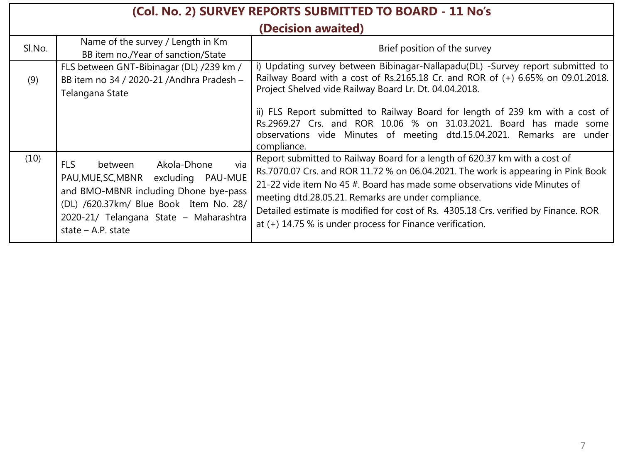| (Col. No. 2) SURVEY REPORTS SUBMITTED TO BOARD - 11 No's |                                                                                                                                                                                                                                          |                                                                                                                                                                                                                                                                                                                                                                                                                                                           |  |  |
|----------------------------------------------------------|------------------------------------------------------------------------------------------------------------------------------------------------------------------------------------------------------------------------------------------|-----------------------------------------------------------------------------------------------------------------------------------------------------------------------------------------------------------------------------------------------------------------------------------------------------------------------------------------------------------------------------------------------------------------------------------------------------------|--|--|
|                                                          | (Decision awaited)                                                                                                                                                                                                                       |                                                                                                                                                                                                                                                                                                                                                                                                                                                           |  |  |
| SI.No.                                                   | Name of the survey / Length in Km<br>BB item no./Year of sanction/State                                                                                                                                                                  | Brief position of the survey                                                                                                                                                                                                                                                                                                                                                                                                                              |  |  |
| (9)                                                      | FLS between GNT-Bibinagar (DL) /239 km /<br>BB item no 34 / 2020-21 / Andhra Pradesh -<br>Telangana State                                                                                                                                | i) Updating survey between Bibinagar-Nallapadu(DL) -Survey report submitted to<br>Railway Board with a cost of Rs.2165.18 Cr. and ROR of (+) 6.65% on 09.01.2018.<br>Project Shelved vide Railway Board Lr. Dt. 04.04.2018.<br>ii) FLS Report submitted to Railway Board for length of 239 km with a cost of                                                                                                                                              |  |  |
|                                                          |                                                                                                                                                                                                                                          | Rs.2969.27 Crs. and ROR 10.06 % on 31.03.2021. Board has made some<br>observations vide Minutes of meeting dtd.15.04.2021. Remarks are under<br>compliance.                                                                                                                                                                                                                                                                                               |  |  |
| (10)                                                     | via<br>Akola-Dhone<br><b>FLS</b><br>between<br>PAU, MUE, SC, MBNR excluding PAU-MUE<br>and BMO-MBNR including Dhone bye-pass<br>(DL) /620.37km/ Blue Book Item No. 28/<br>2020-21/ Telangana State - Maharashtra<br>state $-$ A.P. state | Report submitted to Railway Board for a length of 620.37 km with a cost of<br>Rs.7070.07 Crs. and ROR 11.72 % on 06.04.2021. The work is appearing in Pink Book<br>21-22 vide item No 45 #. Board has made some observations vide Minutes of<br>meeting dtd.28.05.21. Remarks are under compliance.<br>Detailed estimate is modified for cost of Rs. 4305.18 Crs. verified by Finance. ROR<br>at $(+)$ 14.75 % is under process for Finance verification. |  |  |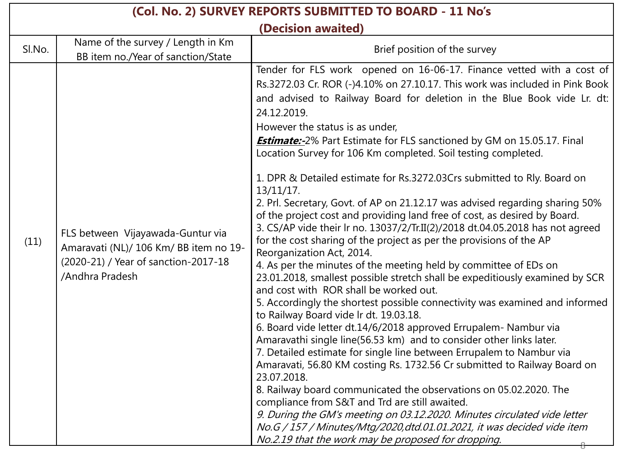| (Col. No. 2) SURVEY REPORTS SUBMITTED TO BOARD - 11 No's |                                                                                                                                        |                                                                                                                                                                                                                                                                                                                                                                                                                                                                                                                                                                                                                                                                                                                                                                                                                                                                                                                                                                                                                                                                                                                                                                                                                                                                                                                                                                                                                                                                                                                                                                                                                                                                                                                                                                                                                                                             |  |  |  |
|----------------------------------------------------------|----------------------------------------------------------------------------------------------------------------------------------------|-------------------------------------------------------------------------------------------------------------------------------------------------------------------------------------------------------------------------------------------------------------------------------------------------------------------------------------------------------------------------------------------------------------------------------------------------------------------------------------------------------------------------------------------------------------------------------------------------------------------------------------------------------------------------------------------------------------------------------------------------------------------------------------------------------------------------------------------------------------------------------------------------------------------------------------------------------------------------------------------------------------------------------------------------------------------------------------------------------------------------------------------------------------------------------------------------------------------------------------------------------------------------------------------------------------------------------------------------------------------------------------------------------------------------------------------------------------------------------------------------------------------------------------------------------------------------------------------------------------------------------------------------------------------------------------------------------------------------------------------------------------------------------------------------------------------------------------------------------------|--|--|--|
|                                                          | (Decision awaited)                                                                                                                     |                                                                                                                                                                                                                                                                                                                                                                                                                                                                                                                                                                                                                                                                                                                                                                                                                                                                                                                                                                                                                                                                                                                                                                                                                                                                                                                                                                                                                                                                                                                                                                                                                                                                                                                                                                                                                                                             |  |  |  |
| SI.No.                                                   | Name of the survey / Length in Km<br>BB item no./Year of sanction/State                                                                | Brief position of the survey                                                                                                                                                                                                                                                                                                                                                                                                                                                                                                                                                                                                                                                                                                                                                                                                                                                                                                                                                                                                                                                                                                                                                                                                                                                                                                                                                                                                                                                                                                                                                                                                                                                                                                                                                                                                                                |  |  |  |
| (11)                                                     | FLS between Vijayawada-Guntur via<br>Amaravati (NL)/ 106 Km/ BB item no 19-<br>(2020-21) / Year of sanction-2017-18<br>/Andhra Pradesh | Tender for FLS work opened on 16-06-17. Finance vetted with a cost of<br>Rs.3272.03 Cr. ROR (-)4.10% on 27.10.17. This work was included in Pink Book<br>and advised to Railway Board for deletion in the Blue Book vide Lr. dt:<br>24.12.2019.<br>However the status is as under,<br><b>Estimate:-</b> 2% Part Estimate for FLS sanctioned by GM on 15.05.17. Final<br>Location Survey for 106 Km completed. Soil testing completed.<br>1. DPR & Detailed estimate for Rs.3272.03Crs submitted to Rly. Board on<br>$13/11/17$ .<br>2. Prl. Secretary, Govt. of AP on 21.12.17 was advised regarding sharing 50%<br>of the project cost and providing land free of cost, as desired by Board.<br>3. CS/AP vide their Ir no. 13037/2/Tr.II(2)/2018 dt.04.05.2018 has not agreed<br>for the cost sharing of the project as per the provisions of the AP<br>Reorganization Act, 2014.<br>4. As per the minutes of the meeting held by committee of EDs on<br>23.01.2018, smallest possible stretch shall be expeditiously examined by SCR<br>and cost with ROR shall be worked out.<br>5. Accordingly the shortest possible connectivity was examined and informed<br>to Railway Board vide Ir dt. 19.03.18.<br>6. Board vide letter dt.14/6/2018 approved Errupalem- Nambur via<br>Amaravathi single line(56.53 km) and to consider other links later.<br>7. Detailed estimate for single line between Errupalem to Nambur via<br>Amaravati, 56.80 KM costing Rs. 1732.56 Cr submitted to Railway Board on<br>23.07.2018.<br>8. Railway board communicated the observations on 05.02.2020. The<br>compliance from S&T and Trd are still awaited.<br>9. During the GM's meeting on 03.12.2020. Minutes circulated vide letter<br>No.G / 157 / Minutes/Mtg/2020,dtd.01.01.2021, it was decided vide item<br>No.2.19 that the work may be proposed for dropping. |  |  |  |

7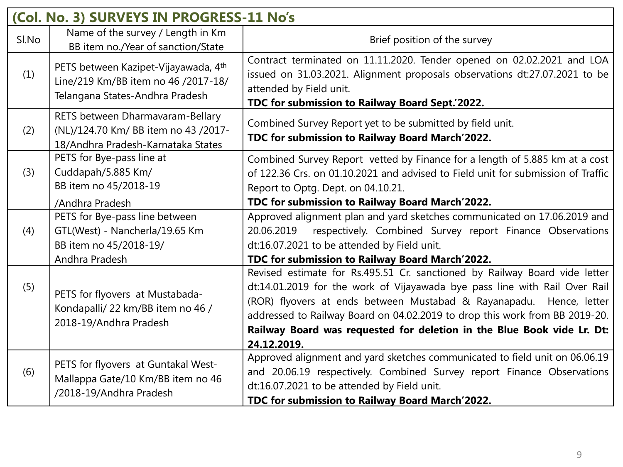|       | (Col. No. 3) SURVEYS IN PROGRESS-11 No's                                                                       |                                                                                                                                                                                                                                                                                                                                                                                                         |  |  |
|-------|----------------------------------------------------------------------------------------------------------------|---------------------------------------------------------------------------------------------------------------------------------------------------------------------------------------------------------------------------------------------------------------------------------------------------------------------------------------------------------------------------------------------------------|--|--|
| Sl.No | Name of the survey / Length in Km<br>BB item no./Year of sanction/State                                        | Brief position of the survey                                                                                                                                                                                                                                                                                                                                                                            |  |  |
| (1)   | PETS between Kazipet-Vijayawada, 4th<br>Line/219 Km/BB item no 46 /2017-18/<br>Telangana States-Andhra Pradesh | Contract terminated on 11.11.2020. Tender opened on 02.02.2021 and LOA<br>issued on 31.03.2021. Alignment proposals observations dt:27.07.2021 to be<br>attended by Field unit.<br>TDC for submission to Railway Board Sept.'2022.                                                                                                                                                                      |  |  |
| (2)   | RETS between Dharmavaram-Bellary<br>(NL)/124.70 Km/ BB item no 43 /2017-<br>18/Andhra Pradesh-Karnataka States | Combined Survey Report yet to be submitted by field unit.<br>TDC for submission to Railway Board March'2022.                                                                                                                                                                                                                                                                                            |  |  |
| (3)   | PETS for Bye-pass line at<br>Cuddapah/5.885 Km/<br>BB item no 45/2018-19                                       | Combined Survey Report vetted by Finance for a length of 5.885 km at a cost<br>of 122.36 Crs. on 01.10.2021 and advised to Field unit for submission of Traffic<br>Report to Optg. Dept. on 04.10.21.                                                                                                                                                                                                   |  |  |
|       | /Andhra Pradesh                                                                                                | TDC for submission to Railway Board March'2022.                                                                                                                                                                                                                                                                                                                                                         |  |  |
| (4)   | PETS for Bye-pass line between<br>GTL(West) - Nancherla/19.65 Km<br>BB item no 45/2018-19/<br>Andhra Pradesh   | Approved alignment plan and yard sketches communicated on 17.06.2019 and<br>respectively. Combined Survey report Finance Observations<br>20.06.2019<br>dt:16.07.2021 to be attended by Field unit.<br>TDC for submission to Railway Board March'2022.                                                                                                                                                   |  |  |
| (5)   | PETS for flyovers at Mustabada-<br>Kondapalli/ 22 km/BB item no 46 /<br>2018-19/Andhra Pradesh                 | Revised estimate for Rs.495.51 Cr. sanctioned by Railway Board vide letter<br>dt:14.01.2019 for the work of Vijayawada bye pass line with Rail Over Rail<br>(ROR) flyovers at ends between Mustabad & Rayanapadu. Hence, letter<br>addressed to Railway Board on 04.02.2019 to drop this work from BB 2019-20.<br>Railway Board was requested for deletion in the Blue Book vide Lr. Dt:<br>24.12.2019. |  |  |
| (6)   | PETS for flyovers at Guntakal West-<br>Mallappa Gate/10 Km/BB item no 46<br>/2018-19/Andhra Pradesh            | Approved alignment and yard sketches communicated to field unit on 06.06.19<br>and 20.06.19 respectively. Combined Survey report Finance Observations<br>dt:16.07.2021 to be attended by Field unit.<br>TDC for submission to Railway Board March'2022.                                                                                                                                                 |  |  |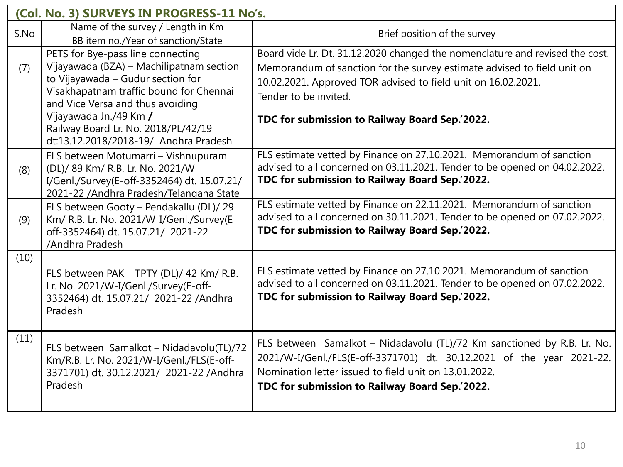|      | (Col. No. 3) SURVEYS IN PROGRESS-11 No's.                                               |                                                                                                                                                    |  |  |
|------|-----------------------------------------------------------------------------------------|----------------------------------------------------------------------------------------------------------------------------------------------------|--|--|
| S.No | Name of the survey / Length in Km                                                       | Brief position of the survey                                                                                                                       |  |  |
|      | BB item no./Year of sanction/State                                                      |                                                                                                                                                    |  |  |
|      | PETS for Bye-pass line connecting                                                       | Board vide Lr. Dt. 31.12.2020 changed the nomenclature and revised the cost.                                                                       |  |  |
| (7)  | Vijayawada (BZA) - Machilipatnam section                                                | Memorandum of sanction for the survey estimate advised to field unit on                                                                            |  |  |
|      | to Vijayawada - Gudur section for<br>Visakhapatnam traffic bound for Chennai            | 10.02.2021. Approved TOR advised to field unit on 16.02.2021.                                                                                      |  |  |
|      | and Vice Versa and thus avoiding                                                        | Tender to be invited.                                                                                                                              |  |  |
|      | Vijayawada Jn./49 Km /                                                                  | TDC for submission to Railway Board Sep. 2022.                                                                                                     |  |  |
|      | Railway Board Lr. No. 2018/PL/42/19                                                     |                                                                                                                                                    |  |  |
|      | dt:13.12.2018/2018-19/ Andhra Pradesh                                                   |                                                                                                                                                    |  |  |
|      | FLS between Motumarri - Vishnupuram                                                     | FLS estimate vetted by Finance on 27.10.2021. Memorandum of sanction                                                                               |  |  |
| (8)  | (DL)/ 89 Km/ R.B. Lr. No. 2021/W-                                                       | advised to all concerned on 03.11.2021. Tender to be opened on 04.02.2022.<br>TDC for submission to Railway Board Sep.'2022.                       |  |  |
|      | I/Genl./Survey(E-off-3352464) dt. 15.07.21/<br>2021-22 / Andhra Pradesh/Telangana State |                                                                                                                                                    |  |  |
|      | FLS between Gooty - Pendakallu (DL)/ 29                                                 | FLS estimate vetted by Finance on 22.11.2021. Memorandum of sanction                                                                               |  |  |
| (9)  | Km/ R.B. Lr. No. 2021/W-I/Genl./Survey(E-                                               | advised to all concerned on 30.11.2021. Tender to be opened on 07.02.2022.                                                                         |  |  |
|      | off-3352464) dt. 15.07.21/ 2021-22                                                      | TDC for submission to Railway Board Sep.'2022.                                                                                                     |  |  |
|      | /Andhra Pradesh                                                                         |                                                                                                                                                    |  |  |
| (10) |                                                                                         |                                                                                                                                                    |  |  |
|      | FLS between PAK - TPTY (DL)/ 42 Km/ R.B.                                                | FLS estimate vetted by Finance on 27.10.2021. Memorandum of sanction<br>advised to all concerned on 03.11.2021. Tender to be opened on 07.02.2022. |  |  |
|      | Lr. No. 2021/W-I/Genl./Survey(E-off-<br>3352464) dt. 15.07.21/ 2021-22 /Andhra          | TDC for submission to Railway Board Sep.'2022.                                                                                                     |  |  |
|      | Pradesh                                                                                 |                                                                                                                                                    |  |  |
|      |                                                                                         |                                                                                                                                                    |  |  |
| (11) |                                                                                         | FLS between Samalkot - Nidadavolu (TL)/72 Km sanctioned by R.B. Lr. No.                                                                            |  |  |
|      | FLS between Samalkot - Nidadavolu(TL)/72                                                | 2021/W-I/Genl./FLS(E-off-3371701) dt. 30.12.2021 of the year 2021-22.                                                                              |  |  |
|      | Km/R.B. Lr. No. 2021/W-I/Genl./FLS(E-off-<br>3371701) dt. 30.12.2021/ 2021-22 /Andhra   | Nomination letter issued to field unit on 13.01.2022.                                                                                              |  |  |
|      | Pradesh                                                                                 | TDC for submission to Railway Board Sep.'2022.                                                                                                     |  |  |
|      |                                                                                         |                                                                                                                                                    |  |  |
|      |                                                                                         |                                                                                                                                                    |  |  |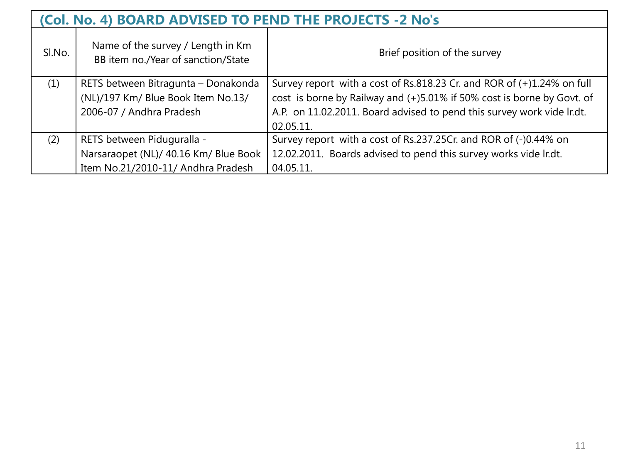|        | (Col. No. 4) BOARD ADVISED TO PEND THE PROJECTS -2 No's                 |                                                                           |  |
|--------|-------------------------------------------------------------------------|---------------------------------------------------------------------------|--|
| SI.No. | Name of the survey / Length in Km<br>BB item no./Year of sanction/State | Brief position of the survey                                              |  |
| (1)    | RETS between Bitragunta - Donakonda                                     | Survey report with a cost of Rs.818.23 Cr. and ROR of $(+)1.24\%$ on full |  |
|        | (NL)/197 Km/ Blue Book Item No.13/                                      | cost is borne by Railway and (+)5.01% if 50% cost is borne by Govt. of    |  |
|        | 2006-07 / Andhra Pradesh                                                | A.P. on 11.02.2011. Board advised to pend this survey work vide lr.dt.    |  |
|        |                                                                         | 02.05.11.                                                                 |  |
| (2)    | RETS between Piduguralla -                                              | Survey report with a cost of Rs.237.25Cr. and ROR of (-)0.44% on          |  |
|        | Narsaraopet (NL)/ 40.16 Km/ Blue Book                                   | 12.02.2011. Boards advised to pend this survey works vide lr.dt.          |  |
|        | Item No.21/2010-11/ Andhra Pradesh                                      | 04.05.11.                                                                 |  |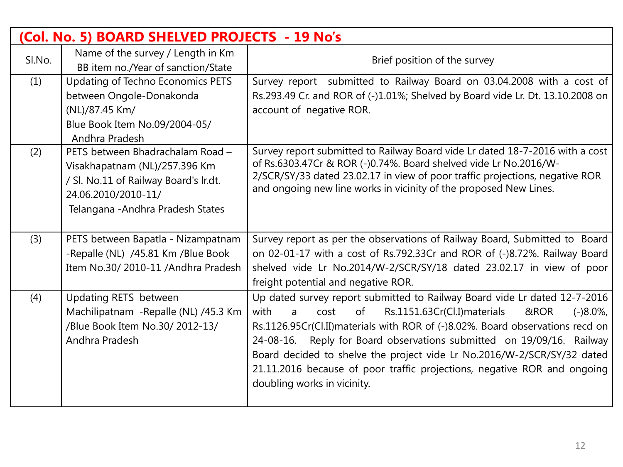|        | (Col. No. 5) BOARD SHELVED PROJECTS - 19 No's                                                                                                                          |                                                                                                                                                                                                                                                                                                                                                                                                                                                                                                             |
|--------|------------------------------------------------------------------------------------------------------------------------------------------------------------------------|-------------------------------------------------------------------------------------------------------------------------------------------------------------------------------------------------------------------------------------------------------------------------------------------------------------------------------------------------------------------------------------------------------------------------------------------------------------------------------------------------------------|
| SI.No. | Name of the survey / Length in Km<br>BB item no./Year of sanction/State                                                                                                | Brief position of the survey                                                                                                                                                                                                                                                                                                                                                                                                                                                                                |
| (1)    | Updating of Techno Economics PETS<br>between Ongole-Donakonda<br>(NL)/87.45 Km/<br>Blue Book Item No.09/2004-05/<br>Andhra Pradesh                                     | Survey report submitted to Railway Board on 03.04.2008 with a cost of<br>Rs.293.49 Cr. and ROR of (-)1.01%; Shelved by Board vide Lr. Dt. 13.10.2008 on<br>account of negative ROR.                                                                                                                                                                                                                                                                                                                         |
| (2)    | PETS between Bhadrachalam Road -<br>Visakhapatnam (NL)/257.396 Km<br>/ Sl. No.11 of Railway Board's Ir.dt.<br>24.06.2010/2010-11/<br>Telangana - Andhra Pradesh States | Survey report submitted to Railway Board vide Lr dated 18-7-2016 with a cost<br>of Rs.6303.47Cr & ROR (-)0.74%. Board shelved vide Lr No.2016/W-<br>2/SCR/SY/33 dated 23.02.17 in view of poor traffic projections, negative ROR<br>and ongoing new line works in vicinity of the proposed New Lines.                                                                                                                                                                                                       |
| (3)    | PETS between Bapatla - Nizampatnam<br>-Repalle (NL) /45.81 Km /Blue Book<br>Item No.30/2010-11 /Andhra Pradesh                                                         | Survey report as per the observations of Railway Board, Submitted to Board<br>on 02-01-17 with a cost of Rs.792.33Cr and ROR of (-)8.72%. Railway Board<br>shelved vide Lr No.2014/W-2/SCR/SY/18 dated 23.02.17 in view of poor<br>freight potential and negative ROR.                                                                                                                                                                                                                                      |
| (4)    | Updating RETS between<br>Machilipatnam - Repalle (NL) /45.3 Km<br>/Blue Book Item No.30/ 2012-13/<br>Andhra Pradesh                                                    | Up dated survey report submitted to Railway Board vide Lr dated 12-7-2016<br>of<br>Rs.1151.63Cr(Cl.I)materials<br>with<br>&ROR<br>cost<br>$(-)8.0\%$<br>a.<br>Rs.1126.95Cr(Cl.II) materials with ROR of (-)8.02%. Board observations recd on<br>24-08-16. Reply for Board observations submitted on 19/09/16. Railway<br>Board decided to shelve the project vide Lr No.2016/W-2/SCR/SY/32 dated<br>21.11.2016 because of poor traffic projections, negative ROR and ongoing<br>doubling works in vicinity. |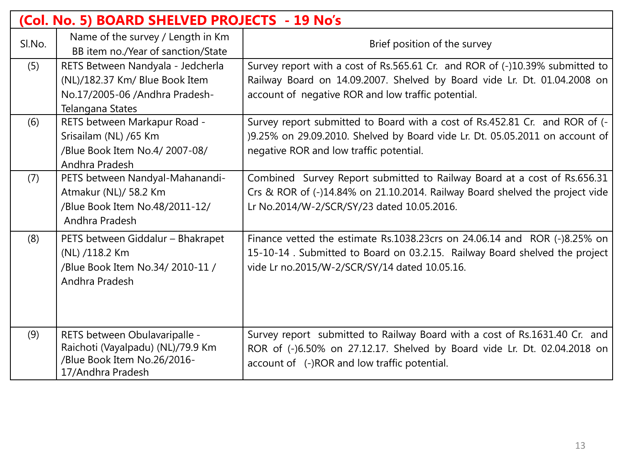|        | (Col. No. 5) BOARD SHELVED PROJECTS - 19 No's                                                                             |                                                                                                                                                                                                                |
|--------|---------------------------------------------------------------------------------------------------------------------------|----------------------------------------------------------------------------------------------------------------------------------------------------------------------------------------------------------------|
| SI.No. | Name of the survey / Length in Km<br>BB item no./Year of sanction/State                                                   | Brief position of the survey                                                                                                                                                                                   |
| (5)    | RETS Between Nandyala - Jedcherla<br>(NL)/182.37 Km/ Blue Book Item<br>No.17/2005-06 /Andhra Pradesh-<br>Telangana States | Survey report with a cost of Rs.565.61 Cr. and ROR of (-)10.39% submitted to<br>Railway Board on 14.09.2007. Shelved by Board vide Lr. Dt. 01.04.2008 on<br>account of negative ROR and low traffic potential. |
| (6)    | RETS between Markapur Road -<br>Srisailam (NL) /65 Km<br>/Blue Book Item No.4/ 2007-08/<br>Andhra Pradesh                 | Survey report submitted to Board with a cost of Rs.452.81 Cr. and ROR of (-<br>)9.25% on 29.09.2010. Shelved by Board vide Lr. Dt. 05.05.2011 on account of<br>negative ROR and low traffic potential.         |
| (7)    | PETS between Nandyal-Mahanandi-<br>Atmakur (NL)/ 58.2 Km<br>/Blue Book Item No.48/2011-12/<br>Andhra Pradesh              | Combined Survey Report submitted to Railway Board at a cost of Rs.656.31<br>Crs & ROR of (-)14.84% on 21.10.2014. Railway Board shelved the project vide<br>Lr No.2014/W-2/SCR/SY/23 dated 10.05.2016.         |
| (8)    | PETS between Giddalur - Bhakrapet<br>(NL) /118.2 Km<br>/Blue Book Item No.34/2010-11 /<br>Andhra Pradesh                  | Finance vetted the estimate Rs.1038.23crs on 24.06.14 and ROR (-)8.25% on<br>15-10-14. Submitted to Board on 03.2.15. Railway Board shelved the project<br>vide Lr no.2015/W-2/SCR/SY/14 dated 10.05.16.       |
| (9)    | RETS between Obulavaripalle -<br>Raichoti (Vayalpadu) (NL)/79.9 Km<br>/Blue Book Item No.26/2016-<br>17/Andhra Pradesh    | Survey report submitted to Railway Board with a cost of Rs.1631.40 Cr. and<br>ROR of (-)6.50% on 27.12.17. Shelved by Board vide Lr. Dt. 02.04.2018 on<br>account of (-)ROR and low traffic potential.         |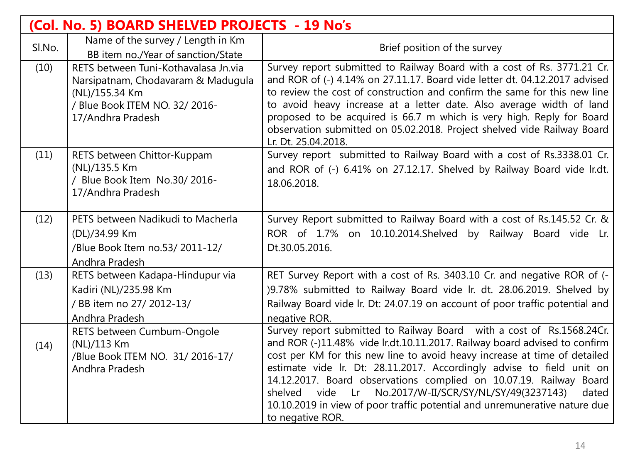| (Col. No. 5) BOARD SHELVED PROJECTS - 19 No's |                                                                                                                                                     |                                                                                                                                                                                                                                                                                                                                                                                                                                                                                                                                                             |  |
|-----------------------------------------------|-----------------------------------------------------------------------------------------------------------------------------------------------------|-------------------------------------------------------------------------------------------------------------------------------------------------------------------------------------------------------------------------------------------------------------------------------------------------------------------------------------------------------------------------------------------------------------------------------------------------------------------------------------------------------------------------------------------------------------|--|
| Sl.No.                                        | Name of the survey / Length in Km<br>BB item no./Year of sanction/State                                                                             | Brief position of the survey                                                                                                                                                                                                                                                                                                                                                                                                                                                                                                                                |  |
| (10)                                          | RETS between Tuni-Kothavalasa Jn.via<br>Narsipatnam, Chodavaram & Madugula<br>(NL)/155.34 Km<br>/ Blue Book ITEM NO. 32/ 2016-<br>17/Andhra Pradesh | Survey report submitted to Railway Board with a cost of Rs. 3771.21 Cr.<br>and ROR of (-) 4.14% on 27.11.17. Board vide letter dt. 04.12.2017 advised<br>to review the cost of construction and confirm the same for this new line<br>to avoid heavy increase at a letter date. Also average width of land<br>proposed to be acquired is 66.7 m which is very high. Reply for Board<br>observation submitted on 05.02.2018. Project shelved vide Railway Board<br>Lr. Dt. 25.04.2018.                                                                       |  |
| (11)                                          | RETS between Chittor-Kuppam<br>(NL)/135.5 Km<br>/ Blue Book Item No.30/2016-<br>17/Andhra Pradesh                                                   | Survey report submitted to Railway Board with a cost of Rs.3338.01 Cr.<br>and ROR of (-) 6.41% on 27.12.17. Shelved by Railway Board vide Ir.dt.<br>18.06.2018.                                                                                                                                                                                                                                                                                                                                                                                             |  |
| (12)                                          | PETS between Nadikudi to Macherla<br>(DL)/34.99 Km<br>/Blue Book Item no.53/ 2011-12/<br>Andhra Pradesh                                             | Survey Report submitted to Railway Board with a cost of Rs.145.52 Cr. &<br>ROR of 1.7% on 10.10.2014. Shelved by Railway Board vide Lr.<br>Dt.30.05.2016.                                                                                                                                                                                                                                                                                                                                                                                                   |  |
| (13)                                          | RETS between Kadapa-Hindupur via<br>Kadiri (NL)/235.98 Km<br>/ BB item no 27/ 2012-13/<br>Andhra Pradesh                                            | RET Survey Report with a cost of Rs. 3403.10 Cr. and negative ROR of (-<br>)9.78% submitted to Railway Board vide Ir. dt. 28.06.2019. Shelved by<br>Railway Board vide Ir. Dt: 24.07.19 on account of poor traffic potential and<br>negative ROR.                                                                                                                                                                                                                                                                                                           |  |
| (14)                                          | RETS between Cumbum-Ongole<br>(NL)/113 Km<br>/Blue Book ITEM NO. 31/2016-17/<br>Andhra Pradesh                                                      | Survey report submitted to Railway Board with a cost of Rs.1568.24Cr.<br>and ROR (-)11.48% vide lr.dt.10.11.2017. Railway board advised to confirm<br>cost per KM for this new line to avoid heavy increase at time of detailed<br>estimate vide Ir. Dt: 28.11.2017. Accordingly advise to field unit on<br>14.12.2017. Board observations complied on 10.07.19. Railway Board<br>No.2017/W-II/SCR/SY/NL/SY/49(3237143)<br>vide<br>Lr<br>shelved<br>dated<br>10.10.2019 in view of poor traffic potential and unremunerative nature due<br>to negative ROR. |  |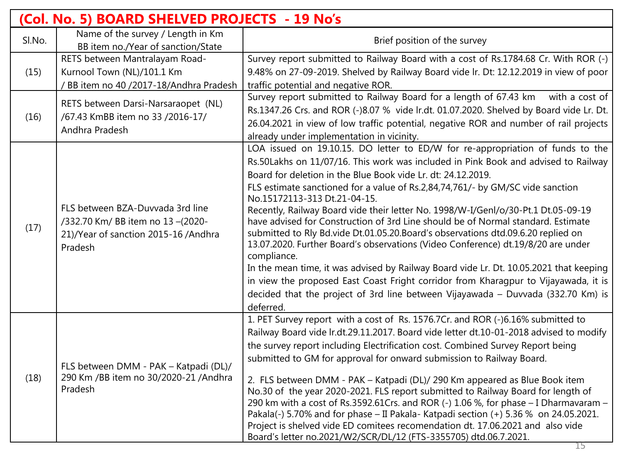| (Col. No. 5) BOARD SHELVED PROJECTS - 19 No's |                                                                                                                         |                                                                                                                                                                          |  |  |
|-----------------------------------------------|-------------------------------------------------------------------------------------------------------------------------|--------------------------------------------------------------------------------------------------------------------------------------------------------------------------|--|--|
| Sl.No.                                        | Name of the survey / Length in Km                                                                                       | Brief position of the survey                                                                                                                                             |  |  |
|                                               | BB item no./Year of sanction/State                                                                                      |                                                                                                                                                                          |  |  |
| (15)                                          | RETS between Mantralayam Road-                                                                                          | Survey report submitted to Railway Board with a cost of Rs.1784.68 Cr. With ROR (-)                                                                                      |  |  |
|                                               | Kurnool Town (NL)/101.1 Km                                                                                              | 9.48% on 27-09-2019. Shelved by Railway Board vide Ir. Dt: 12.12.2019 in view of poor                                                                                    |  |  |
|                                               | / BB item no 40 /2017-18/Andhra Pradesh                                                                                 | traffic potential and negative ROR.                                                                                                                                      |  |  |
| (16)                                          | RETS between Darsi-Narsaraopet (NL)<br>/67.43 KmBB item no 33 /2016-17/<br>Andhra Pradesh                               | Survey report submitted to Railway Board for a length of 67.43 km<br>with a cost of                                                                                      |  |  |
|                                               |                                                                                                                         | Rs.1347.26 Crs. and ROR (-)8.07 % vide lr.dt. 01.07.2020. Shelved by Board vide Lr. Dt.                                                                                  |  |  |
|                                               |                                                                                                                         | 26.04.2021 in view of low traffic potential, negative ROR and number of rail projects                                                                                    |  |  |
|                                               |                                                                                                                         | already under implementation in vicinity.                                                                                                                                |  |  |
|                                               |                                                                                                                         | LOA issued on 19.10.15. DO letter to ED/W for re-appropriation of funds to the                                                                                           |  |  |
|                                               |                                                                                                                         | Rs.50Lakhs on 11/07/16. This work was included in Pink Book and advised to Railway                                                                                       |  |  |
|                                               | FLS between BZA-Duvvada 3rd line<br>/332.70 Km/ BB item no 13-(2020-<br>21)/Year of sanction 2015-16 /Andhra<br>Pradesh | Board for deletion in the Blue Book vide Lr. dt: 24.12.2019.                                                                                                             |  |  |
|                                               |                                                                                                                         | FLS estimate sanctioned for a value of Rs.2,84,74,761/- by GM/SC vide sanction                                                                                           |  |  |
|                                               |                                                                                                                         | No.15172113-313 Dt.21-04-15.                                                                                                                                             |  |  |
|                                               |                                                                                                                         | Recently, Railway Board vide their letter No. 1998/W-I/Genl/o/30-Pt.1 Dt.05-09-19                                                                                        |  |  |
| (17)                                          |                                                                                                                         | have advised for Construction of 3rd Line should be of Normal standard. Estimate                                                                                         |  |  |
|                                               |                                                                                                                         | submitted to Rly Bd.vide Dt.01.05.20.Board's observations dtd.09.6.20 replied on                                                                                         |  |  |
|                                               |                                                                                                                         | 13.07.2020. Further Board's observations (Video Conference) dt.19/8/20 are under                                                                                         |  |  |
|                                               |                                                                                                                         | compliance.                                                                                                                                                              |  |  |
|                                               |                                                                                                                         | In the mean time, it was advised by Railway Board vide Lr. Dt. 10.05.2021 that keeping                                                                                   |  |  |
|                                               |                                                                                                                         | in view the proposed East Coast Fright corridor from Kharagpur to Vijayawada, it is                                                                                      |  |  |
|                                               |                                                                                                                         | decided that the project of 3rd line between Vijayawada - Duvvada (332.70 Km) is                                                                                         |  |  |
|                                               |                                                                                                                         | deferred.                                                                                                                                                                |  |  |
|                                               | FLS between DMM - PAK - Katpadi (DL)/<br>290 Km / BB item no 30/2020-21 / Andhra<br>Pradesh                             | 1. PET Survey report with a cost of Rs. 1576.7Cr. and ROR (-)6.16% submitted to                                                                                          |  |  |
|                                               |                                                                                                                         | Railway Board vide lr.dt.29.11.2017. Board vide letter dt.10-01-2018 advised to modify                                                                                   |  |  |
|                                               |                                                                                                                         | the survey report including Electrification cost. Combined Survey Report being                                                                                           |  |  |
|                                               |                                                                                                                         | submitted to GM for approval for onward submission to Railway Board.                                                                                                     |  |  |
| (18)                                          |                                                                                                                         |                                                                                                                                                                          |  |  |
|                                               |                                                                                                                         | 2. FLS between DMM - PAK - Katpadi (DL)/ 290 Km appeared as Blue Book item                                                                                               |  |  |
|                                               |                                                                                                                         | No.30 of the year 2020-2021. FLS report submitted to Railway Board for length of<br>290 km with a cost of Rs.3592.61Crs. and ROR (-) 1.06 %, for phase - I Dharmavaram - |  |  |
|                                               |                                                                                                                         | Pakala(-) 5.70% and for phase - II Pakala- Katpadi section (+) 5.36 % on 24.05.2021.                                                                                     |  |  |
|                                               |                                                                                                                         | Project is shelved vide ED comitees recomendation dt. 17.06.2021 and also vide                                                                                           |  |  |
|                                               |                                                                                                                         | Board's letter no.2021/W2/SCR/DL/12 (FTS-3355705) dtd.06.7.2021.                                                                                                         |  |  |